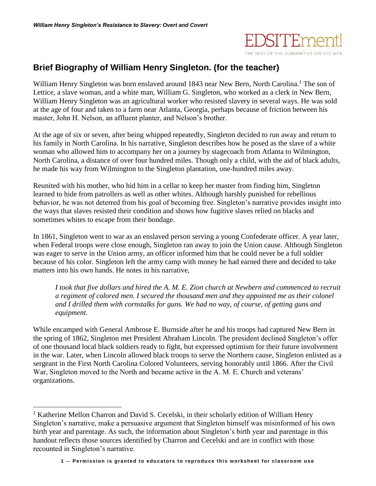

## **Brief Biography of William Henry Singleton. (for the teacher)**

William Henry Singleton was born enslaved around 1843 near New Bern, North Carolina.<sup>1</sup> The son of Lettice, a slave woman, and a white man, William G. Singleton, who worked as a clerk in New Bern, William Henry Singleton was an agricultural worker who resisted slavery in several ways. He was sold at the age of four and taken to a farm near Atlanta, Georgia, perhaps because of friction between his master, John H. Nelson, an affluent planter, and Nelson's brother.

At the age of six or seven, after being whipped repeatedly, Singleton decided to run away and return to his family in North Carolina. In his narrative, Singleton describes how he posed as the slave of a white woman who allowed him to accompany her on a journey by stagecoach from Atlanta to Wilmington, North Carolina, a distance of over four hundred miles. Though only a child, with the aid of black adults, he made his way from Wilmington to the Singleton plantation, one-hundred miles away.

Reunited with his mother, who hid him in a cellar to keep her master from finding him, Singleton learned to hide from patrollers as well as other whites. Although harshly punished for rebellious behavior, he was not deterred from his goal of becoming free. Singleton's narrative provides insight into the ways that slaves resisted their condition and shows how fugitive slaves relied on blacks and sometimes whites to escape from their bondage.

In 1861, Singleton went to war as an enslaved person serving a young Confederate officer. A year later, when Federal troops were close enough, Singleton ran away to join the Union cause. Although Singleton was eager to serve in the Union army, an officer informed him that he could never be a full soldier because of his color. Singleton left the army camp with money he had earned there and decided to take matters into his own hands. He notes in his narrative,

*I took that five dollars and hired the A. M. E. Zion church at Newbern and commenced to recruit a regiment of colored men. I secured the thousand men and they appointed me as their colonel and I drilled them with cornstalks for guns. We had no way, of course, of getting guns and equipment.*

While encamped with General Ambrose E. Burnside after he and his troops had captured New Bern in the spring of 1862, Singleton met President Abraham Lincoln. The president declined Singleton's offer of one thousand local black soldiers ready to fight, but expressed optimism for their future involvement in the war. Later, when Lincoln allowed black troops to serve the Northern cause, Singleton enlisted as a sergeant in the First North Carolina Colored Volunteers, serving honorably until 1866. After the Civil War, Singleton moved to the North and became active in the A. M. E. Church and veterans' organizations.

 $\overline{a}$ 

<sup>&</sup>lt;sup>1</sup> Katherine Mellon Charron and David S. Cecelski, in their scholarly edition of William Henry Singleton's narrative, make a persuasive argument that Singleton himself was misinformed of his own birth year and parentage. As such, the information about Singleton's birth year and parentage in this handout reflects those sources identified by Charron and Cecelski and are in conflict with those recounted in Singleton's narrative.